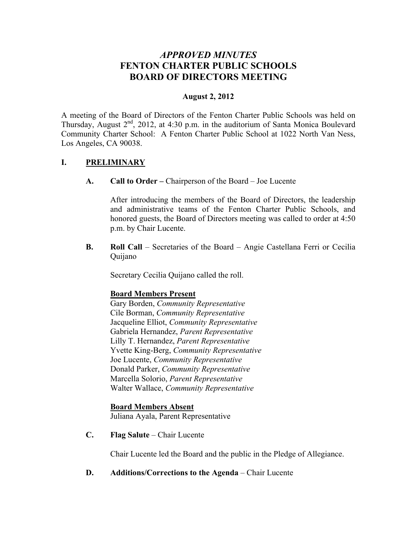# *APPROVED MINUTES* **FENTON CHARTER PUBLIC SCHOOLS BOARD OF DIRECTORS MEETING**

### **August 2, 2012**

A meeting of the Board of Directors of the Fenton Charter Public Schools was held on Thursday, August  $2^{nd}$ , 2012, at 4:30 p.m. in the auditorium of Santa Monica Boulevard Community Charter School: A Fenton Charter Public School at 1022 North Van Ness, Los Angeles, CA 90038.

# **I. PRELIMINARY**

**A. Call to Order –** Chairperson of the Board – Joe Lucente

After introducing the members of the Board of Directors, the leadership and administrative teams of the Fenton Charter Public Schools, and honored guests, the Board of Directors meeting was called to order at 4:50 p.m. by Chair Lucente.

**B. Roll Call** – Secretaries of the Board – Angie Castellana Ferri or Cecilia Quijano

Secretary Cecilia Quijano called the roll.

# **Board Members Present**

Gary Borden, *Community Representative* Cile Borman, *Community Representative* Jacqueline Elliot, *Community Representative* Gabriela Hernandez, *Parent Representative* Lilly T. Hernandez, *Parent Representative* Yvette King-Berg, *Community Representative* Joe Lucente, *Community Representative* Donald Parker, *Community Representative* Marcella Solorio, *Parent Representative* Walter Wallace, *Community Representative*

### **Board Members Absent**

Juliana Ayala, Parent Representative

**C. Flag Salute** – Chair Lucente

Chair Lucente led the Board and the public in the Pledge of Allegiance.

**D. Additions/Corrections to the Agenda** – Chair Lucente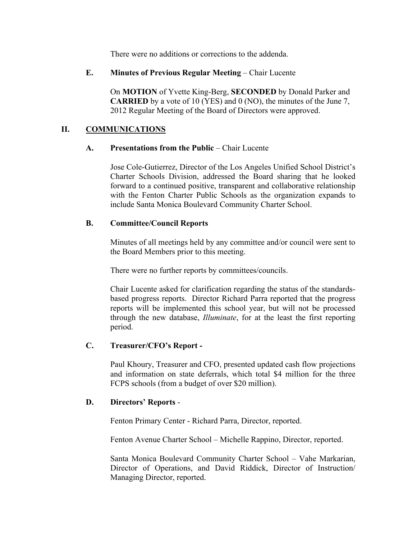There were no additions or corrections to the addenda.

### **E. Minutes of Previous Regular Meeting** – Chair Lucente

On **MOTION** of Yvette King-Berg, **SECONDED** by Donald Parker and **CARRIED** by a vote of 10 (YES) and 0 (NO), the minutes of the June 7, 2012 Regular Meeting of the Board of Directors were approved.

### **II. COMMUNICATIONS**

### **A. Presentations from the Public** – Chair Lucente

Jose Cole-Gutierrez, Director of the Los Angeles Unified School District's Charter Schools Division, addressed the Board sharing that he looked forward to a continued positive, transparent and collaborative relationship with the Fenton Charter Public Schools as the organization expands to include Santa Monica Boulevard Community Charter School.

### **B. Committee/Council Reports**

Minutes of all meetings held by any committee and/or council were sent to the Board Members prior to this meeting.

There were no further reports by committees/councils.

Chair Lucente asked for clarification regarding the status of the standardsbased progress reports. Director Richard Parra reported that the progress reports will be implemented this school year, but will not be processed through the new database, *Illuminate*, for at the least the first reporting period.

# **C. Treasurer/CFO's Report -**

Paul Khoury, Treasurer and CFO, presented updated cash flow projections and information on state deferrals, which total \$4 million for the three FCPS schools (from a budget of over \$20 million).

### **D. Directors' Reports** -

Fenton Primary Center - Richard Parra, Director, reported.

Fenton Avenue Charter School – Michelle Rappino, Director, reported.

Santa Monica Boulevard Community Charter School – Vahe Markarian, Director of Operations, and David Riddick, Director of Instruction/ Managing Director, reported.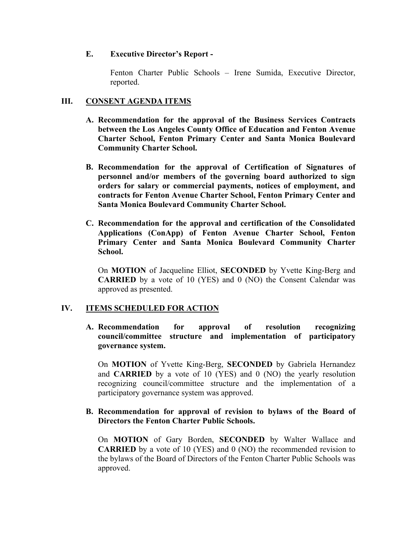#### **E. Executive Director's Report -**

Fenton Charter Public Schools – Irene Sumida, Executive Director, reported.

### **III. CONSENT AGENDA ITEMS**

- **A. Recommendation for the approval of the Business Services Contracts between the Los Angeles County Office of Education and Fenton Avenue Charter School, Fenton Primary Center and Santa Monica Boulevard Community Charter School.**
- **B. Recommendation for the approval of Certification of Signatures of personnel and/or members of the governing board authorized to sign orders for salary or commercial payments, notices of employment, and contracts for Fenton Avenue Charter School, Fenton Primary Center and Santa Monica Boulevard Community Charter School.**
- **C. Recommendation for the approval and certification of the Consolidated Applications (ConApp) of Fenton Avenue Charter School, Fenton Primary Center and Santa Monica Boulevard Community Charter School.**

On **MOTION** of Jacqueline Elliot, **SECONDED** by Yvette King-Berg and **CARRIED** by a vote of 10 (YES) and 0 (NO) the Consent Calendar was approved as presented.

### **IV. ITEMS SCHEDULED FOR ACTION**

**A. Recommendation for approval of resolution recognizing council/committee structure and implementation of participatory governance system.**

On **MOTION** of Yvette King-Berg, **SECONDED** by Gabriela Hernandez and **CARRIED** by a vote of 10 (YES) and 0 (NO) the yearly resolution recognizing council/committee structure and the implementation of a participatory governance system was approved.

### **B. Recommendation for approval of revision to bylaws of the Board of Directors the Fenton Charter Public Schools.**

On **MOTION** of Gary Borden, **SECONDED** by Walter Wallace and **CARRIED** by a vote of 10 (YES) and 0 (NO) the recommended revision to the bylaws of the Board of Directors of the Fenton Charter Public Schools was approved.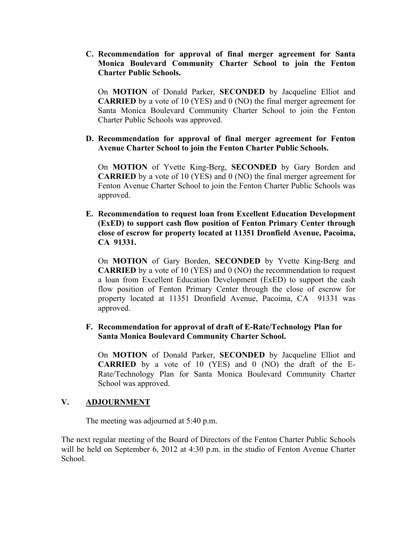**C. Recommendation for approval of final merger agreement for Santa Monica Boulevard Community Charter School to join the Fenton Charter Public Schools.**

On **MOTION** of Donald Parker, **SECONDED** by Jacqueline Elliot and **CARRIED** by a vote of 10 (YES) and 0 (NO) the final merger agreement for Santa Monica Boulevard Community Charter School to join the Fenton Charter Public Schools was approved.

### **D. Recommendation for approval of final merger agreement for Fenton Avenue Charter School to join the Fenton Charter Public Schools.**

On **MOTION** of Yvette King-Berg, **SECONDED** by Gary Borden and **CARRIED** by a vote of 10 (YES) and 0 (NO) the final merger agreement for Fenton Avenue Charter School to join the Fenton Charter Public Schools was approved.

**E. Recommendation to request loan from Excellent Education Development (ExED) to support cash flow position of Fenton Primary Center through close of escrow for property located at 11351 Dronfield Avenue, Pacoima, CA 91331.**

On **MOTION** of Gary Borden, **SECONDED** by Yvette King-Berg and **CARRIED** by a vote of 10 (YES) and 0 (NO) the recommendation to request a loan from Excellent Education Development (ExED) to support the cash flow position of Fenton Primary Center through the close of escrow for property located at 11351 Dronfield Avenue, Pacoima, CA 91331 was approved.

# **F. Recommendation for approval of draft of E-Rate/Technology Plan for Santa Monica Boulevard Community Charter School.**

On **MOTION** of Donald Parker, **SECONDED** by Jacqueline Elliot and **CARRIED** by a vote of 10 (YES) and 0 (NO) the draft of the E-Rate/Technology Plan for Santa Monica Boulevard Community Charter School was approved.

# **V. ADJOURNMENT**

The meeting was adjourned at 5:40 p.m.

The next regular meeting of the Board of Directors of the Fenton Charter Public Schools will be held on September 6, 2012 at 4:30 p.m. in the studio of Fenton Avenue Charter School.